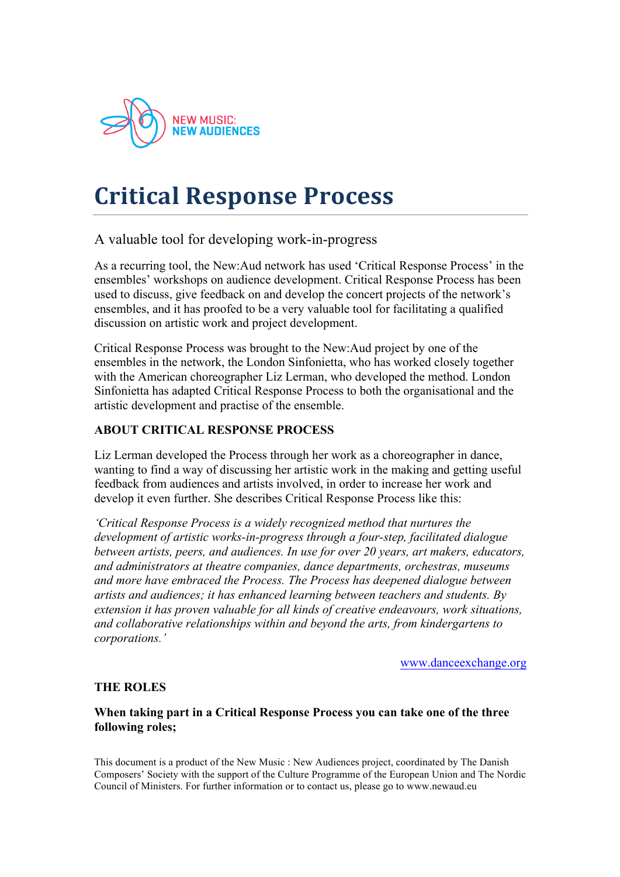

# **Critical!Response!Process**

# A valuable tool for developing work-in-progress

As a recurring tool, the New:Aud network has used 'Critical Response Process' in the ensembles' workshops on audience development. Critical Response Process has been used to discuss, give feedback on and develop the concert projects of the network's ensembles, and it has proofed to be a very valuable tool for facilitating a qualified discussion on artistic work and project development.

Critical Response Process was brought to the New:Aud project by one of the ensembles in the network, the London Sinfonietta, who has worked closely together with the American choreographer Liz Lerman, who developed the method. London Sinfonietta has adapted Critical Response Process to both the organisational and the artistic development and practise of the ensemble.

## **ABOUT CRITICAL RESPONSE PROCESS**

Liz Lerman developed the Process through her work as a choreographer in dance, wanting to find a way of discussing her artistic work in the making and getting useful feedback from audiences and artists involved, in order to increase her work and develop it even further. She describes Critical Response Process like this:

*'Critical Response Process is a widely recognized method that nurtures the development of artistic works-in-progress through a four-step, facilitated dialogue between artists, peers, and audiences. In use for over 20 years, art makers, educators, and administrators at theatre companies, dance departments, orchestras, museums and more have embraced the Process. The Process has deepened dialogue between artists and audiences; it has enhanced learning between teachers and students. By extension it has proven valuable for all kinds of creative endeavours, work situations, and collaborative relationships within and beyond the arts, from kindergartens to corporations.'*

www.danceexchange.org

## **THE ROLES**

**When taking part in a Critical Response Process you can take one of the three following roles;**

This document is a product of the New Music : New Audiences project, coordinated by The Danish Composers' Society with the support of the Culture Programme of the European Union and The Nordic Council of Ministers. For further information or to contact us, please go to www.newaud.eu